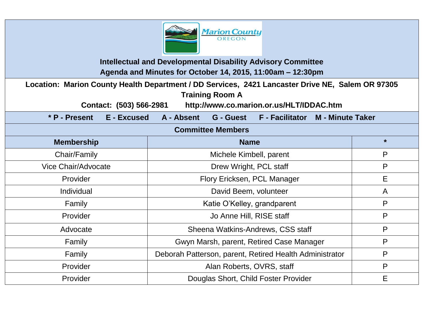

**Intellectual and Developmental Disability Advisory Committee Agenda and Minutes for October 14, 2015, 11:00am – 12:30pm**

**Location: Marion County Health Department / DD Services, 2421 Lancaster Drive NE, Salem OR 97305 Training Room A** 

**Contact: (503) 566-2981 http://www.co.marion.or.us/HLT/IDDAC.htm**

**\* P - Present E - Excused A - Absent G - Guest F - Facilitator M - Minute Taker**

| <b>Committee Members</b> |                                                         |         |
|--------------------------|---------------------------------------------------------|---------|
| <b>Membership</b>        | <b>Name</b>                                             | $\star$ |
| Chair/Family             | Michele Kimbell, parent                                 | P       |
| Vice Chair/Advocate      | Drew Wright, PCL staff                                  | P       |
| Provider                 | Flory Ericksen, PCL Manager                             | E       |
| Individual               | David Beem, volunteer                                   | A       |
| Family                   | Katie O'Kelley, grandparent                             | P       |
| Provider                 | Jo Anne Hill, RISE staff                                | P       |
| Advocate                 | Sheena Watkins-Andrews, CSS staff                       | P       |
| Family                   | Gwyn Marsh, parent, Retired Case Manager                | P       |
| Family                   | Deborah Patterson, parent, Retired Health Administrator | P       |
| Provider                 | Alan Roberts, OVRS, staff                               | P       |
| Provider                 | Douglas Short, Child Foster Provider                    | E       |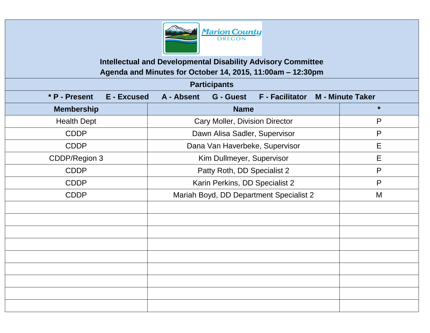

**Intellectual and Developmental Disability Advisory Committee Agenda and Minutes for October 14, 2015, 11:00am – 12:30pm**

| <b>Participants</b>                 |                                                                    |         |  |  |
|-------------------------------------|--------------------------------------------------------------------|---------|--|--|
| * P - Present<br><b>E</b> - Excused | F - Facilitator M - Minute Taker<br>A - Absent<br><b>G</b> - Guest |         |  |  |
| <b>Membership</b>                   | <b>Name</b>                                                        | $\star$ |  |  |
| <b>Health Dept</b>                  | <b>Cary Moller, Division Director</b>                              | P       |  |  |
| <b>CDDP</b>                         | Dawn Alisa Sadler, Supervisor                                      | P       |  |  |
| <b>CDDP</b>                         | Dana Van Haverbeke, Supervisor                                     | E       |  |  |
| CDDP/Region 3                       | Kim Dullmeyer, Supervisor                                          | E       |  |  |
| <b>CDDP</b>                         | Patty Roth, DD Specialist 2                                        | P       |  |  |
| <b>CDDP</b>                         | Karin Perkins, DD Specialist 2                                     | P       |  |  |
| <b>CDDP</b>                         | Mariah Boyd, DD Department Specialist 2                            | M       |  |  |
|                                     |                                                                    |         |  |  |
|                                     |                                                                    |         |  |  |
|                                     |                                                                    |         |  |  |
|                                     |                                                                    |         |  |  |
|                                     |                                                                    |         |  |  |
|                                     |                                                                    |         |  |  |
|                                     |                                                                    |         |  |  |
|                                     |                                                                    |         |  |  |
|                                     |                                                                    |         |  |  |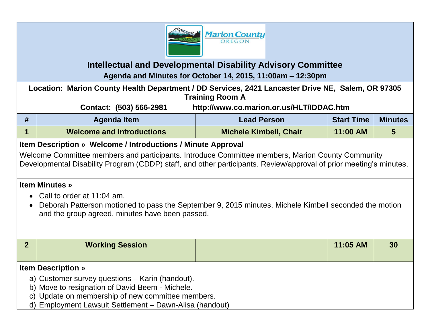

## **Intellectual and Developmental Disability Advisory Committee Agenda and Minutes for October 14, 2015, 11:00am – 12:30pm**

**Location: Marion County Health Department / DD Services, 2421 Lancaster Drive NE, Salem, OR 97305 Training Room A**

**Contact: (503) 566-2981 http://www.co.marion.or.us/HLT/IDDAC.htm**

| Agenda Item                      | Lead Person                   | <b>Start Time</b> | <b>Minutes</b> |
|----------------------------------|-------------------------------|-------------------|----------------|
| <b>Welcome and Introductions</b> | <b>Michele Kimbell, Chair</b> | 11:00 AM          |                |

## **Item Description » Welcome / Introductions / Minute Approval**

Welcome Committee members and participants. Introduce Committee members, Marion County Community Developmental Disability Program (CDDP) staff, and other participants. Review/approval of prior meeting's minutes.

## **Item Minutes »**

- Call to order at 11:04 am.
- Deborah Patterson motioned to pass the September 9, 2015 minutes, Michele Kimbell seconded the motion and the group agreed, minutes have been passed.

| <b>Working Session</b>                                                                                                           |  | 11:05 AM | 30 |  |  |
|----------------------------------------------------------------------------------------------------------------------------------|--|----------|----|--|--|
|                                                                                                                                  |  |          |    |  |  |
|                                                                                                                                  |  |          |    |  |  |
| <b>Item Description</b> »                                                                                                        |  |          |    |  |  |
| a) Customer survey questions – Karin (handout).                                                                                  |  |          |    |  |  |
| b) Move to resignation of David Beem - Michele.                                                                                  |  |          |    |  |  |
| c) Update on membership of new committee members.                                                                                |  |          |    |  |  |
| $\mathbf{A}$ is a set of the contract of $\mathbf{A}$ is a set of $\mathbf{A}$ is a set of $\mathbf{A}$ is a set of $\mathbf{A}$ |  |          |    |  |  |

d) Employment Lawsuit Settlement – Dawn-Alisa (handout)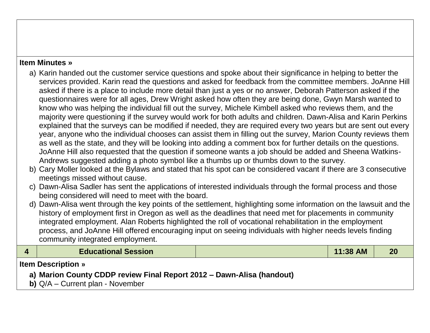## **Item Minutes »**

- a) Karin handed out the customer service questions and spoke about their significance in helping to better the services provided. Karin read the questions and asked for feedback from the committee members. JoAnne Hill asked if there is a place to include more detail than just a yes or no answer, Deborah Patterson asked if the questionnaires were for all ages, Drew Wright asked how often they are being done, Gwyn Marsh wanted to know who was helping the individual fill out the survey, Michele Kimbell asked who reviews them, and the majority were questioning if the survey would work for both adults and children. Dawn-Alisa and Karin Perkins explained that the surveys can be modified if needed, they are required every two years but are sent out every year, anyone who the individual chooses can assist them in filling out the survey, Marion County reviews them as well as the state, and they will be looking into adding a comment box for further details on the questions. JoAnne Hill also requested that the question if someone wants a job should be added and Sheena Watkins-Andrews suggested adding a photo symbol like a thumbs up or thumbs down to the survey.
- b) Cary Moller looked at the Bylaws and stated that his spot can be considered vacant if there are 3 consecutive meetings missed without cause.
- c) Dawn-Alisa Sadler has sent the applications of interested individuals through the formal process and those being considered will need to meet with the board.
- d) Dawn-Alisa went through the key points of the settlement, highlighting some information on the lawsuit and the history of employment first in Oregon as well as the deadlines that need met for placements in community integrated employment. Alan Roberts highlighted the roll of vocational rehabilitation in the employment process, and JoAnne Hill offered encouraging input on seeing individuals with higher needs levels finding community integrated employment.

| <b>Educational Session</b>                                            |  | $11:38$ AM |  |  |  |
|-----------------------------------------------------------------------|--|------------|--|--|--|
| <b>Item Description</b> »                                             |  |            |  |  |  |
| a) Marion County CDDP review Final Report 2012 – Dawn-Alisa (handout) |  |            |  |  |  |
| <b>b)</b> $Q/A$ – Current plan - November                             |  |            |  |  |  |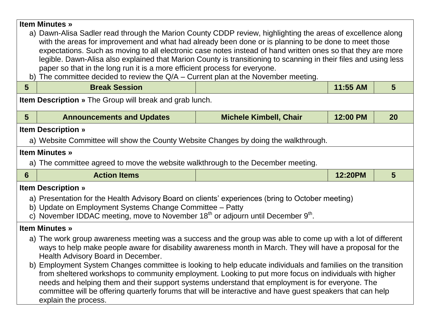| <b>Item Minutes »</b><br>a) Dawn-Alisa Sadler read through the Marion County CDDP review, highlighting the areas of excellence along                                                                                                                                     |                                                                                                                                                                                                                                                                                                                            |                               |          |                |  |
|--------------------------------------------------------------------------------------------------------------------------------------------------------------------------------------------------------------------------------------------------------------------------|----------------------------------------------------------------------------------------------------------------------------------------------------------------------------------------------------------------------------------------------------------------------------------------------------------------------------|-------------------------------|----------|----------------|--|
|                                                                                                                                                                                                                                                                          | with the areas for improvement and what had already been done or is planning to be done to meet those<br>expectations. Such as moving to all electronic case notes instead of hand written ones so that they are more                                                                                                      |                               |          |                |  |
|                                                                                                                                                                                                                                                                          | legible. Dawn-Alisa also explained that Marion County is transitioning to scanning in their files and using less                                                                                                                                                                                                           |                               |          |                |  |
| b)                                                                                                                                                                                                                                                                       | paper so that in the long run it is a more efficient process for everyone.<br>The committee decided to review the $Q/A$ – Current plan at the November meeting.                                                                                                                                                            |                               |          |                |  |
| $5\phantom{1}$                                                                                                                                                                                                                                                           | <b>Break Session</b>                                                                                                                                                                                                                                                                                                       |                               | 11:55 AM | 5 <sup>5</sup> |  |
|                                                                                                                                                                                                                                                                          | <b>Item Description</b> » The Group will break and grab lunch.                                                                                                                                                                                                                                                             |                               |          |                |  |
| $5\phantom{1}$                                                                                                                                                                                                                                                           | <b>Announcements and Updates</b>                                                                                                                                                                                                                                                                                           | <b>Michele Kimbell, Chair</b> | 12:00 PM | <b>20</b>      |  |
|                                                                                                                                                                                                                                                                          | <b>Item Description »</b>                                                                                                                                                                                                                                                                                                  |                               |          |                |  |
|                                                                                                                                                                                                                                                                          | a) Website Committee will show the County Website Changes by doing the walkthrough.                                                                                                                                                                                                                                        |                               |          |                |  |
|                                                                                                                                                                                                                                                                          | <b>Item Minutes »</b>                                                                                                                                                                                                                                                                                                      |                               |          |                |  |
|                                                                                                                                                                                                                                                                          | a) The committee agreed to move the website walkthrough to the December meeting.                                                                                                                                                                                                                                           |                               |          |                |  |
| 6                                                                                                                                                                                                                                                                        | <b>Action Items</b>                                                                                                                                                                                                                                                                                                        |                               | 12:20PM  | $5\phantom{.}$ |  |
|                                                                                                                                                                                                                                                                          | <b>Item Description »</b>                                                                                                                                                                                                                                                                                                  |                               |          |                |  |
| a) Presentation for the Health Advisory Board on clients' experiences (bring to October meeting)<br>b) Update on Employment Systems Change Committee - Patty<br>c) November IDDAC meeting, move to November 18 <sup>th</sup> or adjourn until December 9 <sup>th</sup> . |                                                                                                                                                                                                                                                                                                                            |                               |          |                |  |
| <b>Item Minutes »</b>                                                                                                                                                                                                                                                    |                                                                                                                                                                                                                                                                                                                            |                               |          |                |  |
| a) The work group awareness meeting was a success and the group was able to come up with a lot of different<br>ways to help make people aware for disability awareness month in March. They will have a proposal for the<br>Health Advisory Board in December.           |                                                                                                                                                                                                                                                                                                                            |                               |          |                |  |
|                                                                                                                                                                                                                                                                          | b) Employment System Changes committee is looking to help educate individuals and families on the transition<br>from sheltered workshops to community employment. Looking to put more focus on individuals with higher<br>needs and helping them and their support systems understand that employment is for everyone. The |                               |          |                |  |
| committee will be offering quarterly forums that will be interactive and have guest speakers that can help<br>explain the process.                                                                                                                                       |                                                                                                                                                                                                                                                                                                                            |                               |          |                |  |